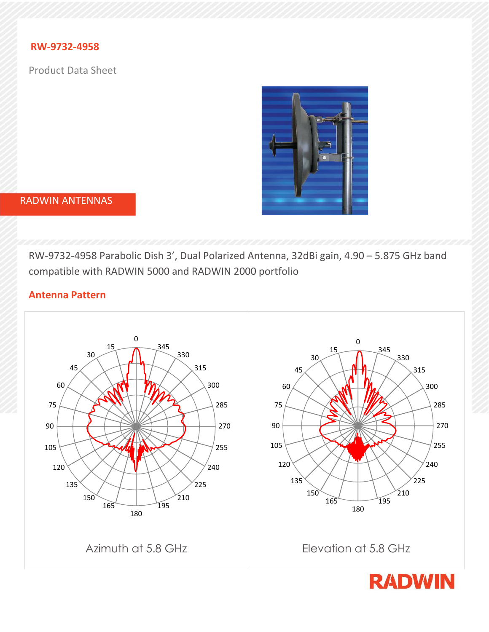## **RW-9732-4958**

Product Data Sheet



### RADWIN ANTENNAS

RW-9732-4958 Parabolic Dish 3', Dual Polarized Antenna, 32dBi gain, 4.90 – 5.875 GHz band compatible with RADWIN 5000 and RADWIN 2000 portfolio

# **Antenna Pattern**